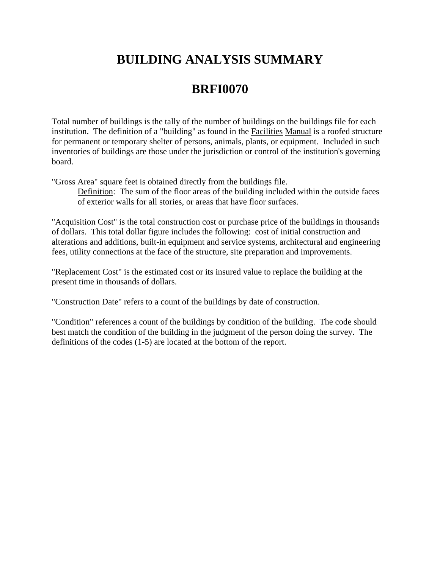# **BUILDING ANALYSIS SUMMARY**

# **BRFI0070**

Total number of buildings is the tally of the number of buildings on the buildings file for each institution. The definition of a "building" as found in the Facilities Manual is a roofed structure for permanent or temporary shelter of persons, animals, plants, or equipment. Included in such inventories of buildings are those under the jurisdiction or control of the institution's governing board.

"Gross Area" square feet is obtained directly from the buildings file.

Definition: The sum of the floor areas of the building included within the outside faces of exterior walls for all stories, or areas that have floor surfaces.

"Acquisition Cost" is the total construction cost or purchase price of the buildings in thousands of dollars. This total dollar figure includes the following: cost of initial construction and alterations and additions, built-in equipment and service systems, architectural and engineering fees, utility connections at the face of the structure, site preparation and improvements.

"Replacement Cost" is the estimated cost or its insured value to replace the building at the present time in thousands of dollars.

"Construction Date" refers to a count of the buildings by date of construction.

"Condition" references a count of the buildings by condition of the building. The code should best match the condition of the building in the judgment of the person doing the survey. The definitions of the codes (1-5) are located at the bottom of the report.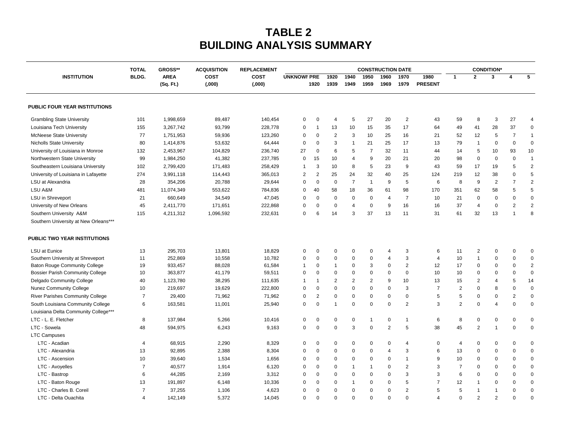## **TABLE 2 BUILDING ANALYSIS SUMMARY**

| <b>UNKNOWI PRE</b><br>3<br>5<br>BLDG.<br><b>AREA</b><br>COST<br>COST<br>1920<br>1940<br>1950<br>1960<br>1970<br>1980<br>$\mathbf{2}$<br><b>INSTITUTION</b><br>$\mathbf{1}$<br>4<br><b>PRESENT</b><br>(Sq. Ft.)<br>(0.000)<br>(0.00)<br>1920<br>1939<br>1949<br>1959<br>1969<br>1979<br>89,487<br>140,454<br>5<br>27<br>20<br>$\overline{2}$<br>43<br>59<br>8<br>3<br>27<br><b>Grambling State University</b><br>101<br>1,998,659<br>0<br>0<br>$\overline{4}$<br>4<br>17<br>28<br>37<br>Louisiana Tech University<br>155<br>3,267,742<br>93,799<br>228,778<br>$\overline{1}$<br>13<br>10<br>15<br>35<br>64<br>49<br>41<br>$\mathbf 0$<br>0<br>$\mathbf 0$<br>3<br>10<br>16<br>12<br><b>McNeese State University</b><br>77<br>1,751,953<br>59,936<br>123,260<br>0<br>$\overline{c}$<br>25<br>21<br>52<br>5<br>$\overline{7}$<br>$\overline{1}$<br>80<br>1,414,876<br>53,632<br>64,444<br>3<br>21<br>25<br>17<br>13<br>79<br>0<br>$\mathbf 0$<br>0<br><b>Nicholls State University</b><br>0<br>0<br>1<br>$\overline{1}$<br>104,829<br>University of Louisiana in Monroe<br>132<br>2,453,967<br>236,740<br>27<br>0<br>6<br>5<br>$\overline{7}$<br>32<br>11<br>44<br>14<br>5<br>10<br>93<br>10<br>1,984,250<br>41,382<br>237,785<br>15<br>10<br>9<br>20<br>21<br>20<br>98<br>0<br>$\mathbf 0$<br>$\overline{1}$<br>Northwestern State University<br>99<br>0<br>$\overline{4}$<br>0<br>$\overline{2}$<br>5<br>9<br>5<br>Southeastern Louisiana University<br>102<br>2,799,420<br>171,483<br>258,429<br>3<br>10<br>8<br>23<br>43<br>59<br>17<br>19<br>$\mathbf 1$<br>25<br>25<br>5<br>274<br>$\overline{2}$<br>24<br>32<br>12<br>University of Louisiana in Lafayette<br>3,991,118<br>114,443<br>365,013<br>2<br>40<br>124<br>219<br>38<br>$\Omega$<br>$\overline{7}$<br>6<br>9<br>$\overline{7}$<br>$\overline{2}$<br>LSU at Alexandria<br>28<br>354,206<br>20,788<br>29,644<br>$\mathbf 0$<br>$\mathbf 0$<br>$\overline{1}$<br>9<br>5<br>8<br>$\overline{c}$<br>0<br>98<br>LSU A&M<br>40<br>58<br>18<br>36<br>170<br>351<br>62<br>58<br>5<br>5<br>481<br>11,074,349<br>553,622<br>784,836<br>61<br>0<br>660,649<br>34,549<br>47,045<br>$\mathbf 0$<br>$\mathbf 0$<br>$\overline{7}$<br>$\mathbf 0$<br>$\Omega$<br>$\mathbf 0$<br><b>LSU</b> in Shreveport<br>21<br>$\Omega$<br>0<br>$\mathbf 0$<br>10<br>21<br>0<br>$\overline{4}$<br>University of New Orleans<br>45<br>2,411,770<br>171,651<br>222,868<br>$\mathbf 0$<br>$\mathbf 0$<br>$\mathbf 0$<br>9<br>16<br>16<br>37<br>0<br>$\overline{2}$<br>2<br>0<br>$\overline{4}$<br>$\overline{4}$<br>37<br>32<br>13<br>8<br>115<br>4,211,312<br>1,096,592<br>232,631<br>0<br>6<br>14<br>3<br>13<br>11<br>31<br>61<br>$\overline{1}$<br>Southern University A&M<br>Southern University at New Orleans***<br>PUBLIC TWO YEAR INSTITUTIONS<br>LSU at Eunice<br>13<br>295,703<br>13,801<br>18,829<br>0<br>0<br>$\mathbf 0$<br>0<br>0<br>3<br>6<br>11<br>2<br>0<br>0<br>4<br>$\mathbf 0$<br>3<br>252,869<br>10,558<br>10,782<br>$\mathbf 0$<br>0<br>$\mathbf 0$<br>10<br>0<br>$\Omega$<br>0<br>Southern University at Shreveport<br>11<br>0<br>$\mathbf 0$<br>4<br>4<br>$\mathbf 1$<br>$\overline{2}$<br><b>Baton Rouge Community College</b><br>933,457<br>88,028<br>61,584<br>0<br>3<br>$\overline{2}$<br>12<br>17<br>$\mathbf 0$<br>0<br>19<br>$\mathbf{1}$<br>0<br>$\Omega$<br>$\Omega$<br>$\mathbf 1$<br>363,877<br>$\mathbf 0$<br>$\Omega$<br>$\mathbf 0$<br>10<br>$\mathbf 0$<br>$\mathbf 0$<br><b>Bossier Parish Community College</b><br>10<br>41,179<br>59,511<br>0<br>$\mathbf 0$<br>0<br>$\Omega$<br>10<br>0<br>$\Omega$<br>Delgado Community College<br>40<br>1,123,780<br>38,295<br>111,635<br>$\overline{2}$<br>$\overline{2}$<br>$\overline{2}$<br>9<br>10<br>13<br>15<br>$\overline{2}$<br>5<br>14<br>$\overline{1}$<br>$\overline{4}$<br>$\mathbf 1$<br>$\overline{7}$<br>$\overline{2}$<br>0<br>Nunez Community College<br>10<br>219,697<br>19,629<br>222,800<br>0<br>$\mathbf 0$<br>$\Omega$<br>0<br>$\mathbf 0$<br>$\Omega$<br>3<br>0<br>8<br>$\mathbf 0$<br><b>River Parishes Community College</b><br>$\overline{7}$<br>29,400<br>71,962<br>71,962<br>$\overline{2}$<br>0<br>$\mathbf 0$<br>$\mathbf 0$<br>5<br>5<br>0<br>$\overline{2}$<br>$\mathbf 0$<br>0<br>$\Omega$<br>0<br>0<br>2<br>3<br>2<br>South Louisiana Community College<br>6<br>163,581<br>11,001<br>25,940<br>$\mathbf 0$<br>0<br>$\mathbf 0$<br>$\Omega$<br>0<br>4<br>$\Omega$<br>0<br>0<br>$\mathbf 1$<br>Louisiana Delta Community College***<br>LTC - L. E. Fletcher<br>6<br>$\pmb{0}$<br>$\mathsf 0$<br>8<br>137,984<br>5,266<br>10,416<br>0<br>0<br>8<br>0<br>$\mathbf 0$<br>0<br>0<br>0<br>$\mathbf 1$<br>-1<br>3<br>$\overline{2}$<br>38<br>2<br>LTC - Sowela<br>594,975<br>6,243<br>$\mathbf 0$<br>$\Omega$<br>5<br>45<br>1<br>$\Omega$<br>0<br>48<br>9,163<br>0<br>0<br><b>LTC Campuses</b><br>LTC - Acadian<br>68,915<br>2,290<br>8,329<br>$\mathbf 0$<br>$\mathbf 0$<br>0<br>0<br>4<br>0<br>0<br>0<br>0<br>$\mathbf 0$<br>0<br>$\Omega$<br>4<br>4<br>2,388<br>LTC - Alexandria<br>13<br>92,895<br>8,304<br>$\mathbf 0$<br>$\mathbf 0$<br>$\mathbf 0$<br>$\mathbf 0$<br>3<br>6<br>13<br>$\mathbf 0$<br>0<br>0<br>0<br>4<br>$\Omega$<br>10<br>1,534<br>0<br>$\mathbf 0$<br>9<br>10<br>0<br>LTC - Ascension<br>39,640<br>1,656<br>0<br>0<br>0<br>0<br>0<br>$\Omega$<br>0<br>-1<br>LTC - Avoyelles<br>$\overline{7}$<br>40,577<br>1,914<br>6,120<br>$\mathbf 0$<br>2<br>3<br>$\overline{7}$<br>$\mathbf 0$<br>$\mathbf 0$<br>0<br>0<br>1<br>$\mathbf{1}$<br>0<br>0<br>$\Omega$<br>LTC - Bastrop<br>6<br>44,285<br>2,169<br>3<br>3<br>0<br>3,312<br>0<br>0<br>0<br>0<br>0<br>$\Omega$<br>6<br>0<br>0<br>$\Omega$<br>LTC - Baton Rouge<br>13<br>191,897<br>6,148<br>10,336<br>5<br>$\overline{7}$<br>12<br>0<br>0<br>0<br>0<br>1<br>$\mathbf 0$<br>0<br>0<br>$\Omega$<br>-1 |                                      | <b>TOTAL</b> | GROSS** | <b>ACQUISITION</b> | <b>REPLACEMENT</b> | <b>CONSTRUCTION DATE</b> |  |  |  |  |  |  |  |  | <b>CONDITION*</b> |  |  |  |  |
|----------------------------------------------------------------------------------------------------------------------------------------------------------------------------------------------------------------------------------------------------------------------------------------------------------------------------------------------------------------------------------------------------------------------------------------------------------------------------------------------------------------------------------------------------------------------------------------------------------------------------------------------------------------------------------------------------------------------------------------------------------------------------------------------------------------------------------------------------------------------------------------------------------------------------------------------------------------------------------------------------------------------------------------------------------------------------------------------------------------------------------------------------------------------------------------------------------------------------------------------------------------------------------------------------------------------------------------------------------------------------------------------------------------------------------------------------------------------------------------------------------------------------------------------------------------------------------------------------------------------------------------------------------------------------------------------------------------------------------------------------------------------------------------------------------------------------------------------------------------------------------------------------------------------------------------------------------------------------------------------------------------------------------------------------------------------------------------------------------------------------------------------------------------------------------------------------------------------------------------------------------------------------------------------------------------------------------------------------------------------------------------------------------------------------------------------------------------------------------------------------------------------------------------------------------------------------------------------------------------------------------------------------------------------------------------------------------------------------------------------------------------------------------------------------------------------------------------------------------------------------------------------------------------------------------------------------------------------------------------------------------------------------------------------------------------------------------------------------------------------------------------------------------------------------------------------------------------------------------------------------------------------------------------------------------------------------------------------------------------------------------------------------------------------------------------------------------------------------------------------------------------------------------------------------------------------------------------------------------------------------------------------------------------------------------------------------------------------------------------------------------------------------------------------------------------------------------------------------------------------------------------------------------------------------------------------------------------------------------------------------------------------------------------------------------------------------------------------------------------------------------------------------------------------------------------------------------------------------------------------------------------------------------------------------------------------------------------------------------------------------------------------------------------------------------------------------------------------------------------------------------------------------------------------------------------------------------------------------------------------------------------------------------------------------------------------------------------------------------------------------------------------------------------------------------------------------------------------------------------------------------------------------------------------------------------------------------------------------------------------------------------------------------------------------------------------------------------------------------------------------------------------------------------------------------------------------------------------------------------------------------------------------------------------------------------------------------------------------------------------------------------------------------------------------------------------------------------------------------------------------------------------------------------------------------------------------------------------------------------------------------------------------------------------------------------------------------------------------------------------------------------------------------------------------------------|--------------------------------------|--------------|---------|--------------------|--------------------|--------------------------|--|--|--|--|--|--|--|--|-------------------|--|--|--|--|
|                                                                                                                                                                                                                                                                                                                                                                                                                                                                                                                                                                                                                                                                                                                                                                                                                                                                                                                                                                                                                                                                                                                                                                                                                                                                                                                                                                                                                                                                                                                                                                                                                                                                                                                                                                                                                                                                                                                                                                                                                                                                                                                                                                                                                                                                                                                                                                                                                                                                                                                                                                                                                                                                                                                                                                                                                                                                                                                                                                                                                                                                                                                                                                                                                                                                                                                                                                                                                                                                                                                                                                                                                                                                                                                                                                                                                                                                                                                                                                                                                                                                                                                                                                                                                                                                                                                                                                                                                                                                                                                                                                                                                                                                                                                                                                                                                                                                                                                                                                                                                                                                                                                                                                                                                                                                                                                                                                                                                                                                                                                                                                                                                                                                                                                                                                                                                |                                      |              |         |                    |                    |                          |  |  |  |  |  |  |  |  |                   |  |  |  |  |
|                                                                                                                                                                                                                                                                                                                                                                                                                                                                                                                                                                                                                                                                                                                                                                                                                                                                                                                                                                                                                                                                                                                                                                                                                                                                                                                                                                                                                                                                                                                                                                                                                                                                                                                                                                                                                                                                                                                                                                                                                                                                                                                                                                                                                                                                                                                                                                                                                                                                                                                                                                                                                                                                                                                                                                                                                                                                                                                                                                                                                                                                                                                                                                                                                                                                                                                                                                                                                                                                                                                                                                                                                                                                                                                                                                                                                                                                                                                                                                                                                                                                                                                                                                                                                                                                                                                                                                                                                                                                                                                                                                                                                                                                                                                                                                                                                                                                                                                                                                                                                                                                                                                                                                                                                                                                                                                                                                                                                                                                                                                                                                                                                                                                                                                                                                                                                |                                      |              |         |                    |                    |                          |  |  |  |  |  |  |  |  |                   |  |  |  |  |
|                                                                                                                                                                                                                                                                                                                                                                                                                                                                                                                                                                                                                                                                                                                                                                                                                                                                                                                                                                                                                                                                                                                                                                                                                                                                                                                                                                                                                                                                                                                                                                                                                                                                                                                                                                                                                                                                                                                                                                                                                                                                                                                                                                                                                                                                                                                                                                                                                                                                                                                                                                                                                                                                                                                                                                                                                                                                                                                                                                                                                                                                                                                                                                                                                                                                                                                                                                                                                                                                                                                                                                                                                                                                                                                                                                                                                                                                                                                                                                                                                                                                                                                                                                                                                                                                                                                                                                                                                                                                                                                                                                                                                                                                                                                                                                                                                                                                                                                                                                                                                                                                                                                                                                                                                                                                                                                                                                                                                                                                                                                                                                                                                                                                                                                                                                                                                | <b>PUBLIC FOUR YEAR INSTITUTIONS</b> |              |         |                    |                    |                          |  |  |  |  |  |  |  |  |                   |  |  |  |  |
|                                                                                                                                                                                                                                                                                                                                                                                                                                                                                                                                                                                                                                                                                                                                                                                                                                                                                                                                                                                                                                                                                                                                                                                                                                                                                                                                                                                                                                                                                                                                                                                                                                                                                                                                                                                                                                                                                                                                                                                                                                                                                                                                                                                                                                                                                                                                                                                                                                                                                                                                                                                                                                                                                                                                                                                                                                                                                                                                                                                                                                                                                                                                                                                                                                                                                                                                                                                                                                                                                                                                                                                                                                                                                                                                                                                                                                                                                                                                                                                                                                                                                                                                                                                                                                                                                                                                                                                                                                                                                                                                                                                                                                                                                                                                                                                                                                                                                                                                                                                                                                                                                                                                                                                                                                                                                                                                                                                                                                                                                                                                                                                                                                                                                                                                                                                                                |                                      |              |         |                    |                    |                          |  |  |  |  |  |  |  |  |                   |  |  |  |  |
|                                                                                                                                                                                                                                                                                                                                                                                                                                                                                                                                                                                                                                                                                                                                                                                                                                                                                                                                                                                                                                                                                                                                                                                                                                                                                                                                                                                                                                                                                                                                                                                                                                                                                                                                                                                                                                                                                                                                                                                                                                                                                                                                                                                                                                                                                                                                                                                                                                                                                                                                                                                                                                                                                                                                                                                                                                                                                                                                                                                                                                                                                                                                                                                                                                                                                                                                                                                                                                                                                                                                                                                                                                                                                                                                                                                                                                                                                                                                                                                                                                                                                                                                                                                                                                                                                                                                                                                                                                                                                                                                                                                                                                                                                                                                                                                                                                                                                                                                                                                                                                                                                                                                                                                                                                                                                                                                                                                                                                                                                                                                                                                                                                                                                                                                                                                                                |                                      |              |         |                    |                    |                          |  |  |  |  |  |  |  |  |                   |  |  |  |  |
|                                                                                                                                                                                                                                                                                                                                                                                                                                                                                                                                                                                                                                                                                                                                                                                                                                                                                                                                                                                                                                                                                                                                                                                                                                                                                                                                                                                                                                                                                                                                                                                                                                                                                                                                                                                                                                                                                                                                                                                                                                                                                                                                                                                                                                                                                                                                                                                                                                                                                                                                                                                                                                                                                                                                                                                                                                                                                                                                                                                                                                                                                                                                                                                                                                                                                                                                                                                                                                                                                                                                                                                                                                                                                                                                                                                                                                                                                                                                                                                                                                                                                                                                                                                                                                                                                                                                                                                                                                                                                                                                                                                                                                                                                                                                                                                                                                                                                                                                                                                                                                                                                                                                                                                                                                                                                                                                                                                                                                                                                                                                                                                                                                                                                                                                                                                                                |                                      |              |         |                    |                    |                          |  |  |  |  |  |  |  |  |                   |  |  |  |  |
|                                                                                                                                                                                                                                                                                                                                                                                                                                                                                                                                                                                                                                                                                                                                                                                                                                                                                                                                                                                                                                                                                                                                                                                                                                                                                                                                                                                                                                                                                                                                                                                                                                                                                                                                                                                                                                                                                                                                                                                                                                                                                                                                                                                                                                                                                                                                                                                                                                                                                                                                                                                                                                                                                                                                                                                                                                                                                                                                                                                                                                                                                                                                                                                                                                                                                                                                                                                                                                                                                                                                                                                                                                                                                                                                                                                                                                                                                                                                                                                                                                                                                                                                                                                                                                                                                                                                                                                                                                                                                                                                                                                                                                                                                                                                                                                                                                                                                                                                                                                                                                                                                                                                                                                                                                                                                                                                                                                                                                                                                                                                                                                                                                                                                                                                                                                                                |                                      |              |         |                    |                    |                          |  |  |  |  |  |  |  |  |                   |  |  |  |  |
|                                                                                                                                                                                                                                                                                                                                                                                                                                                                                                                                                                                                                                                                                                                                                                                                                                                                                                                                                                                                                                                                                                                                                                                                                                                                                                                                                                                                                                                                                                                                                                                                                                                                                                                                                                                                                                                                                                                                                                                                                                                                                                                                                                                                                                                                                                                                                                                                                                                                                                                                                                                                                                                                                                                                                                                                                                                                                                                                                                                                                                                                                                                                                                                                                                                                                                                                                                                                                                                                                                                                                                                                                                                                                                                                                                                                                                                                                                                                                                                                                                                                                                                                                                                                                                                                                                                                                                                                                                                                                                                                                                                                                                                                                                                                                                                                                                                                                                                                                                                                                                                                                                                                                                                                                                                                                                                                                                                                                                                                                                                                                                                                                                                                                                                                                                                                                |                                      |              |         |                    |                    |                          |  |  |  |  |  |  |  |  |                   |  |  |  |  |
|                                                                                                                                                                                                                                                                                                                                                                                                                                                                                                                                                                                                                                                                                                                                                                                                                                                                                                                                                                                                                                                                                                                                                                                                                                                                                                                                                                                                                                                                                                                                                                                                                                                                                                                                                                                                                                                                                                                                                                                                                                                                                                                                                                                                                                                                                                                                                                                                                                                                                                                                                                                                                                                                                                                                                                                                                                                                                                                                                                                                                                                                                                                                                                                                                                                                                                                                                                                                                                                                                                                                                                                                                                                                                                                                                                                                                                                                                                                                                                                                                                                                                                                                                                                                                                                                                                                                                                                                                                                                                                                                                                                                                                                                                                                                                                                                                                                                                                                                                                                                                                                                                                                                                                                                                                                                                                                                                                                                                                                                                                                                                                                                                                                                                                                                                                                                                |                                      |              |         |                    |                    |                          |  |  |  |  |  |  |  |  |                   |  |  |  |  |
|                                                                                                                                                                                                                                                                                                                                                                                                                                                                                                                                                                                                                                                                                                                                                                                                                                                                                                                                                                                                                                                                                                                                                                                                                                                                                                                                                                                                                                                                                                                                                                                                                                                                                                                                                                                                                                                                                                                                                                                                                                                                                                                                                                                                                                                                                                                                                                                                                                                                                                                                                                                                                                                                                                                                                                                                                                                                                                                                                                                                                                                                                                                                                                                                                                                                                                                                                                                                                                                                                                                                                                                                                                                                                                                                                                                                                                                                                                                                                                                                                                                                                                                                                                                                                                                                                                                                                                                                                                                                                                                                                                                                                                                                                                                                                                                                                                                                                                                                                                                                                                                                                                                                                                                                                                                                                                                                                                                                                                                                                                                                                                                                                                                                                                                                                                                                                |                                      |              |         |                    |                    |                          |  |  |  |  |  |  |  |  |                   |  |  |  |  |
|                                                                                                                                                                                                                                                                                                                                                                                                                                                                                                                                                                                                                                                                                                                                                                                                                                                                                                                                                                                                                                                                                                                                                                                                                                                                                                                                                                                                                                                                                                                                                                                                                                                                                                                                                                                                                                                                                                                                                                                                                                                                                                                                                                                                                                                                                                                                                                                                                                                                                                                                                                                                                                                                                                                                                                                                                                                                                                                                                                                                                                                                                                                                                                                                                                                                                                                                                                                                                                                                                                                                                                                                                                                                                                                                                                                                                                                                                                                                                                                                                                                                                                                                                                                                                                                                                                                                                                                                                                                                                                                                                                                                                                                                                                                                                                                                                                                                                                                                                                                                                                                                                                                                                                                                                                                                                                                                                                                                                                                                                                                                                                                                                                                                                                                                                                                                                |                                      |              |         |                    |                    |                          |  |  |  |  |  |  |  |  |                   |  |  |  |  |
|                                                                                                                                                                                                                                                                                                                                                                                                                                                                                                                                                                                                                                                                                                                                                                                                                                                                                                                                                                                                                                                                                                                                                                                                                                                                                                                                                                                                                                                                                                                                                                                                                                                                                                                                                                                                                                                                                                                                                                                                                                                                                                                                                                                                                                                                                                                                                                                                                                                                                                                                                                                                                                                                                                                                                                                                                                                                                                                                                                                                                                                                                                                                                                                                                                                                                                                                                                                                                                                                                                                                                                                                                                                                                                                                                                                                                                                                                                                                                                                                                                                                                                                                                                                                                                                                                                                                                                                                                                                                                                                                                                                                                                                                                                                                                                                                                                                                                                                                                                                                                                                                                                                                                                                                                                                                                                                                                                                                                                                                                                                                                                                                                                                                                                                                                                                                                |                                      |              |         |                    |                    |                          |  |  |  |  |  |  |  |  |                   |  |  |  |  |
|                                                                                                                                                                                                                                                                                                                                                                                                                                                                                                                                                                                                                                                                                                                                                                                                                                                                                                                                                                                                                                                                                                                                                                                                                                                                                                                                                                                                                                                                                                                                                                                                                                                                                                                                                                                                                                                                                                                                                                                                                                                                                                                                                                                                                                                                                                                                                                                                                                                                                                                                                                                                                                                                                                                                                                                                                                                                                                                                                                                                                                                                                                                                                                                                                                                                                                                                                                                                                                                                                                                                                                                                                                                                                                                                                                                                                                                                                                                                                                                                                                                                                                                                                                                                                                                                                                                                                                                                                                                                                                                                                                                                                                                                                                                                                                                                                                                                                                                                                                                                                                                                                                                                                                                                                                                                                                                                                                                                                                                                                                                                                                                                                                                                                                                                                                                                                |                                      |              |         |                    |                    |                          |  |  |  |  |  |  |  |  |                   |  |  |  |  |
|                                                                                                                                                                                                                                                                                                                                                                                                                                                                                                                                                                                                                                                                                                                                                                                                                                                                                                                                                                                                                                                                                                                                                                                                                                                                                                                                                                                                                                                                                                                                                                                                                                                                                                                                                                                                                                                                                                                                                                                                                                                                                                                                                                                                                                                                                                                                                                                                                                                                                                                                                                                                                                                                                                                                                                                                                                                                                                                                                                                                                                                                                                                                                                                                                                                                                                                                                                                                                                                                                                                                                                                                                                                                                                                                                                                                                                                                                                                                                                                                                                                                                                                                                                                                                                                                                                                                                                                                                                                                                                                                                                                                                                                                                                                                                                                                                                                                                                                                                                                                                                                                                                                                                                                                                                                                                                                                                                                                                                                                                                                                                                                                                                                                                                                                                                                                                |                                      |              |         |                    |                    |                          |  |  |  |  |  |  |  |  |                   |  |  |  |  |
|                                                                                                                                                                                                                                                                                                                                                                                                                                                                                                                                                                                                                                                                                                                                                                                                                                                                                                                                                                                                                                                                                                                                                                                                                                                                                                                                                                                                                                                                                                                                                                                                                                                                                                                                                                                                                                                                                                                                                                                                                                                                                                                                                                                                                                                                                                                                                                                                                                                                                                                                                                                                                                                                                                                                                                                                                                                                                                                                                                                                                                                                                                                                                                                                                                                                                                                                                                                                                                                                                                                                                                                                                                                                                                                                                                                                                                                                                                                                                                                                                                                                                                                                                                                                                                                                                                                                                                                                                                                                                                                                                                                                                                                                                                                                                                                                                                                                                                                                                                                                                                                                                                                                                                                                                                                                                                                                                                                                                                                                                                                                                                                                                                                                                                                                                                                                                |                                      |              |         |                    |                    |                          |  |  |  |  |  |  |  |  |                   |  |  |  |  |
|                                                                                                                                                                                                                                                                                                                                                                                                                                                                                                                                                                                                                                                                                                                                                                                                                                                                                                                                                                                                                                                                                                                                                                                                                                                                                                                                                                                                                                                                                                                                                                                                                                                                                                                                                                                                                                                                                                                                                                                                                                                                                                                                                                                                                                                                                                                                                                                                                                                                                                                                                                                                                                                                                                                                                                                                                                                                                                                                                                                                                                                                                                                                                                                                                                                                                                                                                                                                                                                                                                                                                                                                                                                                                                                                                                                                                                                                                                                                                                                                                                                                                                                                                                                                                                                                                                                                                                                                                                                                                                                                                                                                                                                                                                                                                                                                                                                                                                                                                                                                                                                                                                                                                                                                                                                                                                                                                                                                                                                                                                                                                                                                                                                                                                                                                                                                                |                                      |              |         |                    |                    |                          |  |  |  |  |  |  |  |  |                   |  |  |  |  |
|                                                                                                                                                                                                                                                                                                                                                                                                                                                                                                                                                                                                                                                                                                                                                                                                                                                                                                                                                                                                                                                                                                                                                                                                                                                                                                                                                                                                                                                                                                                                                                                                                                                                                                                                                                                                                                                                                                                                                                                                                                                                                                                                                                                                                                                                                                                                                                                                                                                                                                                                                                                                                                                                                                                                                                                                                                                                                                                                                                                                                                                                                                                                                                                                                                                                                                                                                                                                                                                                                                                                                                                                                                                                                                                                                                                                                                                                                                                                                                                                                                                                                                                                                                                                                                                                                                                                                                                                                                                                                                                                                                                                                                                                                                                                                                                                                                                                                                                                                                                                                                                                                                                                                                                                                                                                                                                                                                                                                                                                                                                                                                                                                                                                                                                                                                                                                |                                      |              |         |                    |                    |                          |  |  |  |  |  |  |  |  |                   |  |  |  |  |
|                                                                                                                                                                                                                                                                                                                                                                                                                                                                                                                                                                                                                                                                                                                                                                                                                                                                                                                                                                                                                                                                                                                                                                                                                                                                                                                                                                                                                                                                                                                                                                                                                                                                                                                                                                                                                                                                                                                                                                                                                                                                                                                                                                                                                                                                                                                                                                                                                                                                                                                                                                                                                                                                                                                                                                                                                                                                                                                                                                                                                                                                                                                                                                                                                                                                                                                                                                                                                                                                                                                                                                                                                                                                                                                                                                                                                                                                                                                                                                                                                                                                                                                                                                                                                                                                                                                                                                                                                                                                                                                                                                                                                                                                                                                                                                                                                                                                                                                                                                                                                                                                                                                                                                                                                                                                                                                                                                                                                                                                                                                                                                                                                                                                                                                                                                                                                |                                      |              |         |                    |                    |                          |  |  |  |  |  |  |  |  |                   |  |  |  |  |
|                                                                                                                                                                                                                                                                                                                                                                                                                                                                                                                                                                                                                                                                                                                                                                                                                                                                                                                                                                                                                                                                                                                                                                                                                                                                                                                                                                                                                                                                                                                                                                                                                                                                                                                                                                                                                                                                                                                                                                                                                                                                                                                                                                                                                                                                                                                                                                                                                                                                                                                                                                                                                                                                                                                                                                                                                                                                                                                                                                                                                                                                                                                                                                                                                                                                                                                                                                                                                                                                                                                                                                                                                                                                                                                                                                                                                                                                                                                                                                                                                                                                                                                                                                                                                                                                                                                                                                                                                                                                                                                                                                                                                                                                                                                                                                                                                                                                                                                                                                                                                                                                                                                                                                                                                                                                                                                                                                                                                                                                                                                                                                                                                                                                                                                                                                                                                |                                      |              |         |                    |                    |                          |  |  |  |  |  |  |  |  |                   |  |  |  |  |
|                                                                                                                                                                                                                                                                                                                                                                                                                                                                                                                                                                                                                                                                                                                                                                                                                                                                                                                                                                                                                                                                                                                                                                                                                                                                                                                                                                                                                                                                                                                                                                                                                                                                                                                                                                                                                                                                                                                                                                                                                                                                                                                                                                                                                                                                                                                                                                                                                                                                                                                                                                                                                                                                                                                                                                                                                                                                                                                                                                                                                                                                                                                                                                                                                                                                                                                                                                                                                                                                                                                                                                                                                                                                                                                                                                                                                                                                                                                                                                                                                                                                                                                                                                                                                                                                                                                                                                                                                                                                                                                                                                                                                                                                                                                                                                                                                                                                                                                                                                                                                                                                                                                                                                                                                                                                                                                                                                                                                                                                                                                                                                                                                                                                                                                                                                                                                |                                      |              |         |                    |                    |                          |  |  |  |  |  |  |  |  |                   |  |  |  |  |
|                                                                                                                                                                                                                                                                                                                                                                                                                                                                                                                                                                                                                                                                                                                                                                                                                                                                                                                                                                                                                                                                                                                                                                                                                                                                                                                                                                                                                                                                                                                                                                                                                                                                                                                                                                                                                                                                                                                                                                                                                                                                                                                                                                                                                                                                                                                                                                                                                                                                                                                                                                                                                                                                                                                                                                                                                                                                                                                                                                                                                                                                                                                                                                                                                                                                                                                                                                                                                                                                                                                                                                                                                                                                                                                                                                                                                                                                                                                                                                                                                                                                                                                                                                                                                                                                                                                                                                                                                                                                                                                                                                                                                                                                                                                                                                                                                                                                                                                                                                                                                                                                                                                                                                                                                                                                                                                                                                                                                                                                                                                                                                                                                                                                                                                                                                                                                |                                      |              |         |                    |                    |                          |  |  |  |  |  |  |  |  |                   |  |  |  |  |
|                                                                                                                                                                                                                                                                                                                                                                                                                                                                                                                                                                                                                                                                                                                                                                                                                                                                                                                                                                                                                                                                                                                                                                                                                                                                                                                                                                                                                                                                                                                                                                                                                                                                                                                                                                                                                                                                                                                                                                                                                                                                                                                                                                                                                                                                                                                                                                                                                                                                                                                                                                                                                                                                                                                                                                                                                                                                                                                                                                                                                                                                                                                                                                                                                                                                                                                                                                                                                                                                                                                                                                                                                                                                                                                                                                                                                                                                                                                                                                                                                                                                                                                                                                                                                                                                                                                                                                                                                                                                                                                                                                                                                                                                                                                                                                                                                                                                                                                                                                                                                                                                                                                                                                                                                                                                                                                                                                                                                                                                                                                                                                                                                                                                                                                                                                                                                |                                      |              |         |                    |                    |                          |  |  |  |  |  |  |  |  |                   |  |  |  |  |
|                                                                                                                                                                                                                                                                                                                                                                                                                                                                                                                                                                                                                                                                                                                                                                                                                                                                                                                                                                                                                                                                                                                                                                                                                                                                                                                                                                                                                                                                                                                                                                                                                                                                                                                                                                                                                                                                                                                                                                                                                                                                                                                                                                                                                                                                                                                                                                                                                                                                                                                                                                                                                                                                                                                                                                                                                                                                                                                                                                                                                                                                                                                                                                                                                                                                                                                                                                                                                                                                                                                                                                                                                                                                                                                                                                                                                                                                                                                                                                                                                                                                                                                                                                                                                                                                                                                                                                                                                                                                                                                                                                                                                                                                                                                                                                                                                                                                                                                                                                                                                                                                                                                                                                                                                                                                                                                                                                                                                                                                                                                                                                                                                                                                                                                                                                                                                |                                      |              |         |                    |                    |                          |  |  |  |  |  |  |  |  |                   |  |  |  |  |
|                                                                                                                                                                                                                                                                                                                                                                                                                                                                                                                                                                                                                                                                                                                                                                                                                                                                                                                                                                                                                                                                                                                                                                                                                                                                                                                                                                                                                                                                                                                                                                                                                                                                                                                                                                                                                                                                                                                                                                                                                                                                                                                                                                                                                                                                                                                                                                                                                                                                                                                                                                                                                                                                                                                                                                                                                                                                                                                                                                                                                                                                                                                                                                                                                                                                                                                                                                                                                                                                                                                                                                                                                                                                                                                                                                                                                                                                                                                                                                                                                                                                                                                                                                                                                                                                                                                                                                                                                                                                                                                                                                                                                                                                                                                                                                                                                                                                                                                                                                                                                                                                                                                                                                                                                                                                                                                                                                                                                                                                                                                                                                                                                                                                                                                                                                                                                |                                      |              |         |                    |                    |                          |  |  |  |  |  |  |  |  |                   |  |  |  |  |
|                                                                                                                                                                                                                                                                                                                                                                                                                                                                                                                                                                                                                                                                                                                                                                                                                                                                                                                                                                                                                                                                                                                                                                                                                                                                                                                                                                                                                                                                                                                                                                                                                                                                                                                                                                                                                                                                                                                                                                                                                                                                                                                                                                                                                                                                                                                                                                                                                                                                                                                                                                                                                                                                                                                                                                                                                                                                                                                                                                                                                                                                                                                                                                                                                                                                                                                                                                                                                                                                                                                                                                                                                                                                                                                                                                                                                                                                                                                                                                                                                                                                                                                                                                                                                                                                                                                                                                                                                                                                                                                                                                                                                                                                                                                                                                                                                                                                                                                                                                                                                                                                                                                                                                                                                                                                                                                                                                                                                                                                                                                                                                                                                                                                                                                                                                                                                |                                      |              |         |                    |                    |                          |  |  |  |  |  |  |  |  |                   |  |  |  |  |
|                                                                                                                                                                                                                                                                                                                                                                                                                                                                                                                                                                                                                                                                                                                                                                                                                                                                                                                                                                                                                                                                                                                                                                                                                                                                                                                                                                                                                                                                                                                                                                                                                                                                                                                                                                                                                                                                                                                                                                                                                                                                                                                                                                                                                                                                                                                                                                                                                                                                                                                                                                                                                                                                                                                                                                                                                                                                                                                                                                                                                                                                                                                                                                                                                                                                                                                                                                                                                                                                                                                                                                                                                                                                                                                                                                                                                                                                                                                                                                                                                                                                                                                                                                                                                                                                                                                                                                                                                                                                                                                                                                                                                                                                                                                                                                                                                                                                                                                                                                                                                                                                                                                                                                                                                                                                                                                                                                                                                                                                                                                                                                                                                                                                                                                                                                                                                |                                      |              |         |                    |                    |                          |  |  |  |  |  |  |  |  |                   |  |  |  |  |
|                                                                                                                                                                                                                                                                                                                                                                                                                                                                                                                                                                                                                                                                                                                                                                                                                                                                                                                                                                                                                                                                                                                                                                                                                                                                                                                                                                                                                                                                                                                                                                                                                                                                                                                                                                                                                                                                                                                                                                                                                                                                                                                                                                                                                                                                                                                                                                                                                                                                                                                                                                                                                                                                                                                                                                                                                                                                                                                                                                                                                                                                                                                                                                                                                                                                                                                                                                                                                                                                                                                                                                                                                                                                                                                                                                                                                                                                                                                                                                                                                                                                                                                                                                                                                                                                                                                                                                                                                                                                                                                                                                                                                                                                                                                                                                                                                                                                                                                                                                                                                                                                                                                                                                                                                                                                                                                                                                                                                                                                                                                                                                                                                                                                                                                                                                                                                |                                      |              |         |                    |                    |                          |  |  |  |  |  |  |  |  |                   |  |  |  |  |
|                                                                                                                                                                                                                                                                                                                                                                                                                                                                                                                                                                                                                                                                                                                                                                                                                                                                                                                                                                                                                                                                                                                                                                                                                                                                                                                                                                                                                                                                                                                                                                                                                                                                                                                                                                                                                                                                                                                                                                                                                                                                                                                                                                                                                                                                                                                                                                                                                                                                                                                                                                                                                                                                                                                                                                                                                                                                                                                                                                                                                                                                                                                                                                                                                                                                                                                                                                                                                                                                                                                                                                                                                                                                                                                                                                                                                                                                                                                                                                                                                                                                                                                                                                                                                                                                                                                                                                                                                                                                                                                                                                                                                                                                                                                                                                                                                                                                                                                                                                                                                                                                                                                                                                                                                                                                                                                                                                                                                                                                                                                                                                                                                                                                                                                                                                                                                |                                      |              |         |                    |                    |                          |  |  |  |  |  |  |  |  |                   |  |  |  |  |
|                                                                                                                                                                                                                                                                                                                                                                                                                                                                                                                                                                                                                                                                                                                                                                                                                                                                                                                                                                                                                                                                                                                                                                                                                                                                                                                                                                                                                                                                                                                                                                                                                                                                                                                                                                                                                                                                                                                                                                                                                                                                                                                                                                                                                                                                                                                                                                                                                                                                                                                                                                                                                                                                                                                                                                                                                                                                                                                                                                                                                                                                                                                                                                                                                                                                                                                                                                                                                                                                                                                                                                                                                                                                                                                                                                                                                                                                                                                                                                                                                                                                                                                                                                                                                                                                                                                                                                                                                                                                                                                                                                                                                                                                                                                                                                                                                                                                                                                                                                                                                                                                                                                                                                                                                                                                                                                                                                                                                                                                                                                                                                                                                                                                                                                                                                                                                |                                      |              |         |                    |                    |                          |  |  |  |  |  |  |  |  |                   |  |  |  |  |
|                                                                                                                                                                                                                                                                                                                                                                                                                                                                                                                                                                                                                                                                                                                                                                                                                                                                                                                                                                                                                                                                                                                                                                                                                                                                                                                                                                                                                                                                                                                                                                                                                                                                                                                                                                                                                                                                                                                                                                                                                                                                                                                                                                                                                                                                                                                                                                                                                                                                                                                                                                                                                                                                                                                                                                                                                                                                                                                                                                                                                                                                                                                                                                                                                                                                                                                                                                                                                                                                                                                                                                                                                                                                                                                                                                                                                                                                                                                                                                                                                                                                                                                                                                                                                                                                                                                                                                                                                                                                                                                                                                                                                                                                                                                                                                                                                                                                                                                                                                                                                                                                                                                                                                                                                                                                                                                                                                                                                                                                                                                                                                                                                                                                                                                                                                                                                |                                      |              |         |                    |                    |                          |  |  |  |  |  |  |  |  |                   |  |  |  |  |
|                                                                                                                                                                                                                                                                                                                                                                                                                                                                                                                                                                                                                                                                                                                                                                                                                                                                                                                                                                                                                                                                                                                                                                                                                                                                                                                                                                                                                                                                                                                                                                                                                                                                                                                                                                                                                                                                                                                                                                                                                                                                                                                                                                                                                                                                                                                                                                                                                                                                                                                                                                                                                                                                                                                                                                                                                                                                                                                                                                                                                                                                                                                                                                                                                                                                                                                                                                                                                                                                                                                                                                                                                                                                                                                                                                                                                                                                                                                                                                                                                                                                                                                                                                                                                                                                                                                                                                                                                                                                                                                                                                                                                                                                                                                                                                                                                                                                                                                                                                                                                                                                                                                                                                                                                                                                                                                                                                                                                                                                                                                                                                                                                                                                                                                                                                                                                |                                      |              |         |                    |                    |                          |  |  |  |  |  |  |  |  |                   |  |  |  |  |
|                                                                                                                                                                                                                                                                                                                                                                                                                                                                                                                                                                                                                                                                                                                                                                                                                                                                                                                                                                                                                                                                                                                                                                                                                                                                                                                                                                                                                                                                                                                                                                                                                                                                                                                                                                                                                                                                                                                                                                                                                                                                                                                                                                                                                                                                                                                                                                                                                                                                                                                                                                                                                                                                                                                                                                                                                                                                                                                                                                                                                                                                                                                                                                                                                                                                                                                                                                                                                                                                                                                                                                                                                                                                                                                                                                                                                                                                                                                                                                                                                                                                                                                                                                                                                                                                                                                                                                                                                                                                                                                                                                                                                                                                                                                                                                                                                                                                                                                                                                                                                                                                                                                                                                                                                                                                                                                                                                                                                                                                                                                                                                                                                                                                                                                                                                                                                |                                      |              |         |                    |                    |                          |  |  |  |  |  |  |  |  |                   |  |  |  |  |
|                                                                                                                                                                                                                                                                                                                                                                                                                                                                                                                                                                                                                                                                                                                                                                                                                                                                                                                                                                                                                                                                                                                                                                                                                                                                                                                                                                                                                                                                                                                                                                                                                                                                                                                                                                                                                                                                                                                                                                                                                                                                                                                                                                                                                                                                                                                                                                                                                                                                                                                                                                                                                                                                                                                                                                                                                                                                                                                                                                                                                                                                                                                                                                                                                                                                                                                                                                                                                                                                                                                                                                                                                                                                                                                                                                                                                                                                                                                                                                                                                                                                                                                                                                                                                                                                                                                                                                                                                                                                                                                                                                                                                                                                                                                                                                                                                                                                                                                                                                                                                                                                                                                                                                                                                                                                                                                                                                                                                                                                                                                                                                                                                                                                                                                                                                                                                |                                      |              |         |                    |                    |                          |  |  |  |  |  |  |  |  |                   |  |  |  |  |
|                                                                                                                                                                                                                                                                                                                                                                                                                                                                                                                                                                                                                                                                                                                                                                                                                                                                                                                                                                                                                                                                                                                                                                                                                                                                                                                                                                                                                                                                                                                                                                                                                                                                                                                                                                                                                                                                                                                                                                                                                                                                                                                                                                                                                                                                                                                                                                                                                                                                                                                                                                                                                                                                                                                                                                                                                                                                                                                                                                                                                                                                                                                                                                                                                                                                                                                                                                                                                                                                                                                                                                                                                                                                                                                                                                                                                                                                                                                                                                                                                                                                                                                                                                                                                                                                                                                                                                                                                                                                                                                                                                                                                                                                                                                                                                                                                                                                                                                                                                                                                                                                                                                                                                                                                                                                                                                                                                                                                                                                                                                                                                                                                                                                                                                                                                                                                |                                      |              |         |                    |                    |                          |  |  |  |  |  |  |  |  |                   |  |  |  |  |
|                                                                                                                                                                                                                                                                                                                                                                                                                                                                                                                                                                                                                                                                                                                                                                                                                                                                                                                                                                                                                                                                                                                                                                                                                                                                                                                                                                                                                                                                                                                                                                                                                                                                                                                                                                                                                                                                                                                                                                                                                                                                                                                                                                                                                                                                                                                                                                                                                                                                                                                                                                                                                                                                                                                                                                                                                                                                                                                                                                                                                                                                                                                                                                                                                                                                                                                                                                                                                                                                                                                                                                                                                                                                                                                                                                                                                                                                                                                                                                                                                                                                                                                                                                                                                                                                                                                                                                                                                                                                                                                                                                                                                                                                                                                                                                                                                                                                                                                                                                                                                                                                                                                                                                                                                                                                                                                                                                                                                                                                                                                                                                                                                                                                                                                                                                                                                |                                      |              |         |                    |                    |                          |  |  |  |  |  |  |  |  |                   |  |  |  |  |
|                                                                                                                                                                                                                                                                                                                                                                                                                                                                                                                                                                                                                                                                                                                                                                                                                                                                                                                                                                                                                                                                                                                                                                                                                                                                                                                                                                                                                                                                                                                                                                                                                                                                                                                                                                                                                                                                                                                                                                                                                                                                                                                                                                                                                                                                                                                                                                                                                                                                                                                                                                                                                                                                                                                                                                                                                                                                                                                                                                                                                                                                                                                                                                                                                                                                                                                                                                                                                                                                                                                                                                                                                                                                                                                                                                                                                                                                                                                                                                                                                                                                                                                                                                                                                                                                                                                                                                                                                                                                                                                                                                                                                                                                                                                                                                                                                                                                                                                                                                                                                                                                                                                                                                                                                                                                                                                                                                                                                                                                                                                                                                                                                                                                                                                                                                                                                |                                      |              |         |                    |                    |                          |  |  |  |  |  |  |  |  |                   |  |  |  |  |
| $\overline{2}$<br>5<br>0<br>LTC - Charles B. Coreil<br>$\overline{7}$<br>37,255<br>1,106<br>4,623<br>0<br>0<br>0<br>5<br>0<br>0<br>0<br>1<br>$\Omega$<br>-1                                                                                                                                                                                                                                                                                                                                                                                                                                                                                                                                                                                                                                                                                                                                                                                                                                                                                                                                                                                                                                                                                                                                                                                                                                                                                                                                                                                                                                                                                                                                                                                                                                                                                                                                                                                                                                                                                                                                                                                                                                                                                                                                                                                                                                                                                                                                                                                                                                                                                                                                                                                                                                                                                                                                                                                                                                                                                                                                                                                                                                                                                                                                                                                                                                                                                                                                                                                                                                                                                                                                                                                                                                                                                                                                                                                                                                                                                                                                                                                                                                                                                                                                                                                                                                                                                                                                                                                                                                                                                                                                                                                                                                                                                                                                                                                                                                                                                                                                                                                                                                                                                                                                                                                                                                                                                                                                                                                                                                                                                                                                                                                                                                                    |                                      |              |         |                    |                    |                          |  |  |  |  |  |  |  |  |                   |  |  |  |  |
| 5,372<br>$\overline{2}$<br>$\overline{2}$<br>LTC - Delta Ouachita<br>$\overline{4}$<br>142,149<br>14,045<br>$\mathbf 0$<br>$\Omega$<br>$\Omega$<br>$\Omega$<br>$\overline{\mathbf{4}}$<br>$\Omega$<br>$\Omega$<br>$\Omega$<br>$\Omega$<br>$\Omega$<br>$\Omega$                                                                                                                                                                                                                                                                                                                                                                                                                                                                                                                                                                                                                                                                                                                                                                                                                                                                                                                                                                                                                                                                                                                                                                                                                                                                                                                                                                                                                                                                                                                                                                                                                                                                                                                                                                                                                                                                                                                                                                                                                                                                                                                                                                                                                                                                                                                                                                                                                                                                                                                                                                                                                                                                                                                                                                                                                                                                                                                                                                                                                                                                                                                                                                                                                                                                                                                                                                                                                                                                                                                                                                                                                                                                                                                                                                                                                                                                                                                                                                                                                                                                                                                                                                                                                                                                                                                                                                                                                                                                                                                                                                                                                                                                                                                                                                                                                                                                                                                                                                                                                                                                                                                                                                                                                                                                                                                                                                                                                                                                                                                                                 |                                      |              |         |                    |                    |                          |  |  |  |  |  |  |  |  |                   |  |  |  |  |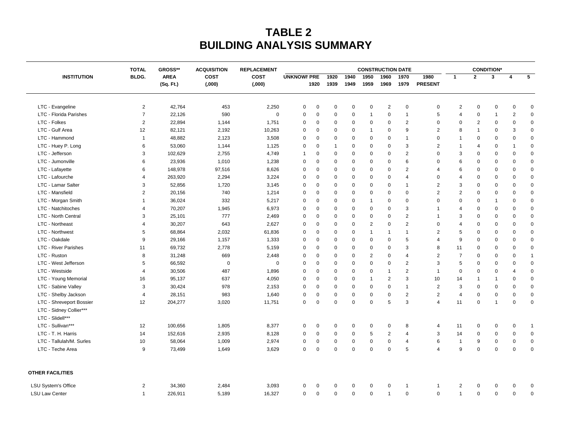## **TABLE 2 BUILDING ANALYSIS SUMMARY**

| <b>INSTITUTION</b>          | <b>TOTAL</b>   | GROSS**     | <b>ACQUISITION</b><br><b>COST</b><br>(0.00) | <b>REPLACEMENT</b><br><b>COST</b> | <b>CONSTRUCTION DATE</b> |             |              |             |                |                         |                |                         |                | <b>CONDITION*</b> |                |                         |                 |  |
|-----------------------------|----------------|-------------|---------------------------------------------|-----------------------------------|--------------------------|-------------|--------------|-------------|----------------|-------------------------|----------------|-------------------------|----------------|-------------------|----------------|-------------------------|-----------------|--|
|                             | BLDG.          | <b>AREA</b> |                                             |                                   | <b>UNKNOWI PRE</b>       |             | 1920         | 1940        | 1950           | 1960                    | 1970           | 1980                    | $\mathbf{1}$   | $\mathbf{2}$      | $\mathbf{3}$   | $\overline{\mathbf{4}}$ | $5\overline{5}$ |  |
|                             |                | (Sq. Ft.)   |                                             | (0.000)                           |                          | 1920        | 1939         | 1949        | 1959           | 1969                    | 1979           | <b>PRESENT</b>          |                |                   |                |                         |                 |  |
| LTC - Evangeline            | $\overline{2}$ | 42,764      | 453                                         | 2,250                             | 0                        | $\mathbf 0$ | $\mathbf 0$  | $\mathbf 0$ | $\pmb{0}$      | $\overline{\mathbf{c}}$ | $\mathbf 0$    | 0                       | $\overline{c}$ | $\mathbf 0$       | $\mathbf 0$    | $\mathbf 0$             | $\pmb{0}$       |  |
| LTC - Florida Parishes      | $\overline{7}$ | 22,126      | 590                                         | 0                                 | $\mathbf 0$              | $\mathbf 0$ | 0            | $\pmb{0}$   | $\mathbf{1}$   | 0                       | $\mathbf{1}$   | 5                       | $\overline{4}$ | $\mathbf 0$       | $\overline{1}$ | $\sqrt{2}$              | $\pmb{0}$       |  |
| LTC - Folkes                | 2              | 22,894      | 1,144                                       | 1,751                             | 0                        | 0           | 0            | $\mathbf 0$ | $\mathbf 0$    | 0                       | $\overline{2}$ | 0                       | $\mathbf 0$    | $\overline{2}$    | 0              | $\mathbf 0$             | $\mathbf 0$     |  |
| LTC - Gulf Area             | 12             | 82,121      | 2,192                                       | 10,263                            | 0                        | $\mathbf 0$ | 0            | $\mathbf 0$ | $\mathbf{1}$   | 0                       | 9              | 2                       | 8              | $\mathbf 1$       | $\mathbf 0$    | 3                       | $\mathbf 0$     |  |
| LTC - Hammond               | $\mathbf{1}$   | 48,882      | 2,123                                       | 3,508                             | $\mathbf 0$              | 0           | 0            | $\pmb{0}$   | $\mathbf 0$    | $\mathbf 0$             | $\mathbf{1}$   | 0                       | $\overline{1}$ | $\mathbf 0$       | $\mathbf 0$    | $\mathbf 0$             | $\pmb{0}$       |  |
| LTC - Huey P. Long          | 6              | 53,060      | 1,144                                       | 1,125                             | 0                        | 0           | $\mathbf{1}$ | $\mathbf 0$ | $\mathbf 0$    | $\mathbf 0$             | 3              | $\overline{2}$          | $\overline{1}$ | 4                 | $\mathbf 0$    | 1                       | $\pmb{0}$       |  |
| LTC - Jefferson             | 3              | 102,629     | 2,755                                       | 4,749                             | $\mathbf 1$              | $\mathbf 0$ | $\mathbf 0$  | $\mathbf 0$ | $\mathbf 0$    | $\mathbf 0$             | 2              | 0                       | 3              | $\mathbf 0$       | $\mathbf 0$    | $\mathbf 0$             | $\pmb{0}$       |  |
| LTC - Jumonville            | 6              | 23,936      | 1,010                                       | 1,238                             | $\mathbf 0$              | $\mathbf 0$ | 0            | $\mathbf 0$ | $\mathbf 0$    | 0                       | 6              | $\mathbf 0$             | 6              | $\mathbf 0$       | $\mathbf 0$    | $\mathbf 0$             | $\mathbf 0$     |  |
| LTC - Lafayette             | 6              | 148,978     | 97,516                                      | 8,626                             | $\mathbf 0$              | $\mathbf 0$ | $\mathbf 0$  | $\mathbf 0$ | $\mathbf 0$    | $\mathbf 0$             | 2              | $\overline{4}$          | 6              | $\mathbf 0$       | $\mathbf 0$    | $\mathbf 0$             | $\mathbf 0$     |  |
| LTC - Lafourche             | $\overline{4}$ | 263,920     | 2,294                                       | 3,224                             | $\mathbf 0$              | $\mathbf 0$ | 0            | $\mathbf 0$ | $\mathbf 0$    | $\mathbf 0$             | $\overline{4}$ | 0                       | $\overline{4}$ | 0                 | $\mathbf 0$    | $\mathbf 0$             | $\pmb{0}$       |  |
| LTC - Lamar Salter          | 3              | 52,856      | 1,720                                       | 3,145                             | $\mathbf 0$              | $\mathbf 0$ | 0            | $\mathbf 0$ | $\mathbf 0$    | 0                       | $\overline{1}$ | $\overline{2}$          | 3              | $\mathbf 0$       | $\mathbf 0$    | $\mathbf 0$             | $\mathbf 0$     |  |
| LTC - Mansfield             | $\overline{2}$ | 20,156      | 740                                         | 1,214                             | $\mathbf 0$              | $\mathbf 0$ | 0            | $\mathbf 0$ | $\mathbf 0$    | $\mathbf 0$             | $\mathbf 0$    | 2                       | $\overline{2}$ | $\mathbf 0$       | $\mathbf 0$    | $\mathbf 0$             | $\mathbf 0$     |  |
| LTC - Morgan Smith          | $\overline{1}$ | 36,024      | 332                                         | 5,217                             | $\mathbf 0$              | $\mathbf 0$ | 0            | $\mathbf 0$ | $\mathbf{1}$   | 0                       | $\mathbf 0$    | 0                       | $\mathbf 0$    | $\mathbf 0$       | $\mathbf{1}$   | $\mathbf 0$             | $\mathbf 0$     |  |
| LTC - Natchitoches          | $\overline{4}$ | 70,207      | 1,945                                       | 6,973                             | $\mathbf 0$              | $\mathbf 0$ | $\mathbf 0$  | $\mathbf 0$ | $\mathbf 0$    | 0                       | 3              | $\overline{1}$          | $\overline{4}$ | 0                 | $\mathbf 0$    | $\mathbf 0$             | $\pmb{0}$       |  |
| LTC - North Central         | 3              | 25,101      | 777                                         | 2,469                             | 0                        | 0           | 0            | $\mathbf 0$ | $\pmb{0}$      | 0                       | $\overline{2}$ | $\mathbf{1}$            | 3              | 0                 | $\mathbf 0$    | $\mathbf 0$             | $\pmb{0}$       |  |
| LTC - Northeast             | $\overline{4}$ | 30,207      | 643                                         | 2,627                             | $\mathbf 0$              | $\mathbf 0$ | 0            | $\mathbf 0$ | $\overline{2}$ | 0                       | $\overline{2}$ | $\mathbf 0$             | $\overline{4}$ | 0                 | $\mathbf 0$    | $\mathbf 0$             | $\mathbf 0$     |  |
| LTC - Northwest             | 5              | 68,864      | 2,032                                       | 61,836                            | $\mathbf 0$              | $\mathbf 0$ | 0            | $\mathbf 0$ | $\mathbf{1}$   | $\overline{1}$          | $\mathbf{1}$   | $\overline{2}$          | 5              | 0                 | $\mathbf 0$    | $\mathbf 0$             | $\pmb{0}$       |  |
| LTC - Oakdale               | 9              | 29,166      | 1,157                                       | 1,333                             | $\mathbf 0$              | $\mathbf 0$ | 0            | $\mathbf 0$ | 0              | 0                       | 5              | $\overline{4}$          | 9              | $\mathbf 0$       | $\mathbf 0$    | $\mathbf 0$             | $\mathbf 0$     |  |
| <b>LTC - River Parishes</b> | 11             | 69,732      | 2,778                                       | 5,159                             | $\mathbf 0$              | $\mathbf 0$ | 0            | $\mathbf 0$ | $\pmb{0}$      | 0                       | 3              | 8                       | 11             | 0                 | $\mathbf 0$    | $\mathbf 0$             | $\mathbf 0$     |  |
| LTC - Ruston                | 8              | 31,248      | 669                                         | 2,448                             | $\mathbf 0$              | 0           | 0            | $\mathbf 0$ | $\overline{2}$ | 0                       | $\overline{4}$ | $\overline{c}$          | $\overline{7}$ | 0                 | $\mathbf 0$    | $\mathbf 0$             | $\mathbf{1}$    |  |
| LTC - West Jefferson        | 5              | 66,592      | $\mathbf 0$                                 | 0                                 | 0                        | $\mathbf 0$ | 0            | $\mathbf 0$ | $\mathbf 0$    | $\mathbf 0$             | $\overline{2}$ | 3                       | 5              | 0                 | $\mathbf 0$    | $\mathbf 0$             | $\pmb{0}$       |  |
| LTC - Westside              | $\overline{4}$ | 30,506      | 487                                         | 1,896                             | $\mathbf 0$              | $\mathbf 0$ | $\mathbf 0$  | $\mathbf 0$ | $\mathbf 0$    | $\overline{1}$          | $\overline{2}$ | $\overline{1}$          | $\mathbf 0$    | $\mathbf 0$       | $\mathbf 0$    | 4                       | $\mathbf 0$     |  |
| LTC - Young Memorial        | 16             | 95,137      | 637                                         | 4,050                             | $\mathbf 0$              | $\mathbf 0$ | 0            | $\mathbf 0$ | $\mathbf{1}$   | 2                       | 3              | 10                      | 14             | $\mathbf 1$       | $\mathbf{1}$   | $\mathbf 0$             | $\mathbf 0$     |  |
| LTC - Sabine Valley         | 3              | 30,424      | 978                                         | 2,153                             | $\mathbf 0$              | 0           | 0            | $\mathbf 0$ | $\pmb{0}$      | $\Omega$                | $\overline{1}$ | $\sqrt{2}$              | 3              | 0                 | $\mathbf 0$    | $\mathbf 0$             | $\pmb{0}$       |  |
| LTC - Shelby Jackson        | $\overline{4}$ | 28,151      | 983                                         | 1,640                             | 0                        | $\mathbf 0$ | 0            | $\mathbf 0$ | $\pmb{0}$      | $\mathbf 0$             | $\overline{2}$ | $\overline{2}$          | $\overline{4}$ | 0                 | $\mathbf 0$    | $\mathbf 0$             | $\pmb{0}$       |  |
| LTC - Shreveport Bossier    | 12             | 204,277     | 3,020                                       | 11,751                            | $\mathbf 0$              | $\mathbf 0$ | $\mathbf 0$  | $\mathbf 0$ | $\mathbf 0$    | 5                       | 3              | $\overline{4}$          | 11             | $\mathbf 0$       | $\mathbf{1}$   | $\mathbf 0$             | $\mathbf 0$     |  |
| LTC - Sidney Collier***     |                |             |                                             |                                   |                          |             |              |             |                |                         |                |                         |                |                   |                |                         |                 |  |
| LTC - Slidell***            |                |             |                                             |                                   |                          |             |              |             |                |                         |                |                         |                |                   |                |                         |                 |  |
| LTC - Sullivan***           | 12             | 100,656     | 1,805                                       | 8,377                             | 0                        | $\pmb{0}$   | $\mathbf 0$  | $\mathbf 0$ | $\mathbf 0$    | 0                       | 8              | $\overline{\mathbf{4}}$ | 11             | $\mathbf 0$       | $\mathbf 0$    | $\pmb{0}$               | $\mathbf{1}$    |  |
| LTC - T. H. Harris          | 14             | 152,616     | 2,935                                       | 8,128                             | $\mathbf 0$              | $\mathbf 0$ | 0            | $\pmb{0}$   | 5              | $\overline{c}$          | 4              | $\mathsf 3$             | 14             | $\mathbf 0$       | $\mathbf 0$    | $\pmb{0}$               | $\pmb{0}$       |  |
| LTC - Tallulah/M. Surles    | 10             | 58,064      | 1,009                                       | 2,974                             | $\mathbf 0$              | $\mathbf 0$ | 0            | $\pmb{0}$   | $\mathbf 0$    | $\mathbf 0$             | $\overline{4}$ | 6                       | $\overline{1}$ | 9                 | $\mathbf 0$    | $\mathbf 0$             | $\pmb{0}$       |  |
| LTC - Teche Area            | 9              | 73,499      | 1,649                                       | 3,629                             | $\mathbf 0$              | $\mathbf 0$ | $\mathbf 0$  | $\mathbf 0$ | $\mathbf 0$    | $\mathbf 0$             | 5              | $\overline{4}$          | 9              | $\mathbf 0$       | $\mathbf 0$    | $\mathbf 0$             | $\mathbf 0$     |  |
| <b>OTHER FACILITIES</b>     |                |             |                                             |                                   |                          |             |              |             |                |                         |                |                         |                |                   |                |                         |                 |  |
| <b>LSU System's Office</b>  | $\overline{2}$ | 34,360      | 2,484                                       | 3,093                             | 0                        | 0           | 0            | $\pmb{0}$   | $\mathbf 0$    | 0                       | $\mathbf{1}$   | $\mathbf{1}$            | $\overline{2}$ | $\mathbf 0$       | 0              | 0                       | $\mathbf 0$     |  |
| <b>LSU Law Center</b>       | $\mathbf{1}$   | 226,911     | 5,189                                       | 16,327                            | 0                        | 0           | 0            | $\pmb{0}$   | $\mathbf 0$    | $\overline{1}$          | $\pmb{0}$      | 0                       | $\overline{1}$ | $\mathbf 0$       | $\mathbf 0$    | $\pmb{0}$               | $\pmb{0}$       |  |